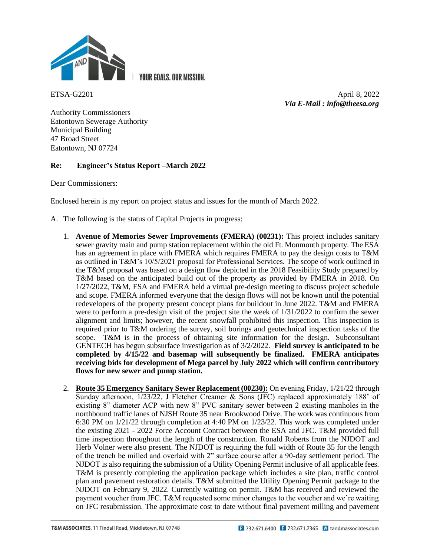

**YOUR GOALS, OUR MISSION.** 

ETSA-G2201 April 8, 2022 *Via E-Mail : info@theesa.org*

Authority Commissioners Eatontown Sewerage Authority Municipal Building 47 Broad Street Eatontown, NJ 07724

## **Re: Engineer's Status Report –March 2022**

Dear Commissioners:

Enclosed herein is my report on project status and issues for the month of March 2022.

- A. The following is the status of Capital Projects in progress:
	- 1. **Avenue of Memories Sewer Improvements (FMERA) (00231):** This project includes sanitary sewer gravity main and pump station replacement within the old Ft. Monmouth property. The ESA has an agreement in place with FMERA which requires FMERA to pay the design costs to T&M as outlined in T&M's 10/5/2021 proposal for Professional Services. The scope of work outlined in the T&M proposal was based on a design flow depicted in the 2018 Feasibility Study prepared by T&M based on the anticipated build out of the property as provided by FMERA in 2018. On 1/27/2022, T&M, ESA and FMERA held a virtual pre-design meeting to discuss project schedule and scope. FMERA informed everyone that the design flows will not be known until the potential redevelopers of the property present concept plans for buildout in June 2022. T&M and FMERA were to perform a pre-design visit of the project site the week of 1/31/2022 to confirm the sewer alignment and limits; however, the recent snowfall prohibited this inspection. This inspection is required prior to T&M ordering the survey, soil borings and geotechnical inspection tasks of the scope. T&M is in the process of obtaining site information for the design. Subconsultant GENTECH has begun subsurface investigation as of 3/2/2022. **Field survey is anticipated to be completed by 4/15/22 and basemap will subsequently be finalized. FMERA anticipates receiving bids for development of Mega parcel by July 2022 which will confirm contributory flows for new sewer and pump station.**
	- 2. **Route 35 Emergency Sanitary Sewer Replacement (00230):** On evening Friday, 1/21/22 through Sunday afternoon, 1/23/22, J Fletcher Creamer & Sons (JFC) replaced approximately 188' of existing 8" diameter ACP with new 8" PVC sanitary sewer between 2 existing manholes in the northbound traffic lanes of NJSH Route 35 near Brookwood Drive. The work was continuous from 6:30 PM on 1/21/22 through completion at 4:40 PM on 1/23/22. This work was completed under the existing 2021 - 2022 Force Account Contract between the ESA and JFC. T&M provided full time inspection throughout the length of the construction. Ronald Roberts from the NJDOT and Herb Volner were also present. The NJDOT is requiring the full width of Route 35 for the length of the trench be milled and overlaid with 2" surface course after a 90-day settlement period. The NJDOT is also requiring the submission of a Utility Opening Permit inclusive of all applicable fees. T&M is presently completing the application package which includes a site plan, traffic control plan and pavement restoration details. T&M submitted the Utility Opening Permit package to the NJDOT on February 9, 2022. Currently waiting on permit. T&M has received and reviewed the payment voucher from JFC. T&M requested some minor changes to the voucher and we're waiting on JFC resubmission. The approximate cost to date without final pavement milling and pavement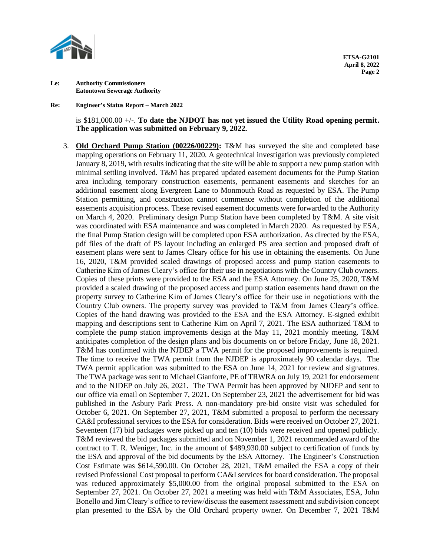

**Re: Engineer's Status Report – March 2022**

is \$181,000.00 +/-. **To date the NJDOT has not yet issued the Utility Road opening permit. The application was submitted on February 9, 2022.**

3. **Old Orchard Pump Station (00226/00229):** T&M has surveyed the site and completed base mapping operations on February 11, 2020. A geotechnical investigation was previously completed January 8, 2019, with results indicating that the site will be able to support a new pump station with minimal settling involved. T&M has prepared updated easement documents for the Pump Station area including temporary construction easements, permanent easements and sketches for an additional easement along Evergreen Lane to Monmouth Road as requested by ESA. The Pump Station permitting, and construction cannot commence without completion of the additional easements acquisition process. These revised easement documents were forwarded to the Authority on March 4, 2020. Preliminary design Pump Station have been completed by T&M. A site visit was coordinated with ESA maintenance and was completed in March 2020. As requested by ESA, the final Pump Station design will be completed upon ESA authorization. As directed by the ESA, pdf files of the draft of PS layout including an enlarged PS area section and proposed draft of easement plans were sent to James Cleary office for his use in obtaining the easements. On June 16, 2020, T&M provided scaled drawings of proposed access and pump station easements to Catherine Kim of James Cleary's office for their use in negotiations with the Country Club owners. Copies of these prints were provided to the ESA and the ESA Attorney. On June 25, 2020, T&M provided a scaled drawing of the proposed access and pump station easements hand drawn on the property survey to Catherine Kim of James Cleary's office for their use in negotiations with the Country Club owners. The property survey was provided to T&M from James Cleary's office. Copies of the hand drawing was provided to the ESA and the ESA Attorney. E-signed exhibit mapping and descriptions sent to Catherine Kim on April 7, 2021. The ESA authorized T&M to complete the pump station improvements design at the May 11, 2021 monthly meeting. T&M anticipates completion of the design plans and bis documents on or before Friday, June 18, 2021. T&M has confirmed with the NJDEP a TWA permit for the proposed improvements is required. The time to receive the TWA permit from the NJDEP is approximately 90 calendar days.The TWA permit application was submitted to the ESA on June 14, 2021 for review and signatures. The TWA package was sent to Michael Gianforte, PE of TRWRA on July 19, 2021 for endorsement and to the NJDEP on July 26, 2021.The TWA Permit has been approved by NJDEP and sent to our office via email on September 7, 2021**.** On September 23, 2021 the advertisement for bid was published in the Asbury Park Press. A non-mandatory pre-bid onsite visit was scheduled for October 6, 2021. On September 27, 2021, T&M submitted a proposal to perform the necessary CA&I professional services to the ESA for consideration. Bids were received on October 27, 2021. Seventeen (17) bid packages were picked up and ten (10) bids were received and opened publicly. T&M reviewed the bid packages submitted and on November 1, 2021 recommended award of the contract to T. R. Weniger, Inc. in the amount of \$489,930.00 subject to certification of funds by the ESA and approval of the bid documents by the ESA Attorney. The Engineer's Construction Cost Estimate was \$614,590.00. On October 28, 2021, T&M emailed the ESA a copy of their revised Professional Cost proposal to perform CA&I services for board consideration. The proposal was reduced approximately \$5,000.00 from the original proposal submitted to the ESA on September 27, 2021. On October 27, 2021 a meeting was held with T&M Associates, ESA, John Bonello and Jim Cleary's office to review/discuss the easement assessment and subdivision concept plan presented to the ESA by the Old Orchard property owner. On December 7, 2021 T&M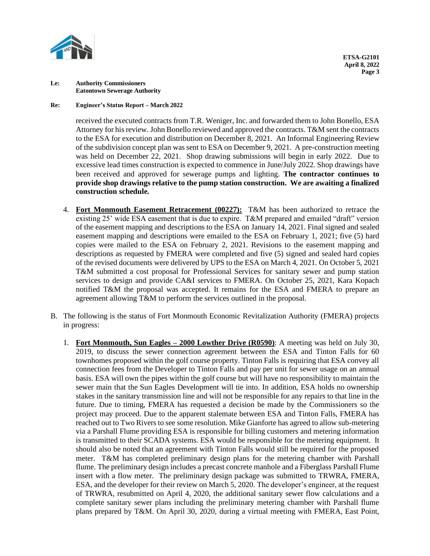

## **Re: Engineer's Status Report – March 2022**

received the executed contracts from T.R. Weniger, Inc. and forwarded them to John Bonello, ESA Attorney for his review. John Bonello reviewed and approved the contracts. T&M sent the contracts to the ESA for execution and distribution on December 8, 2021. An Informal Engineering Review of the subdivision concept plan was sent to ESA on December 9, 2021. A pre-construction meeting was held on December 22, 2021. Shop drawing submissions will begin in early 2022. Due to excessive lead times construction is expected to commence in June/July 2022. Shop drawings have been received and approved for sewerage pumps and lighting. **The contractor continues to provide shop drawings relative to the pump station construction. We are awaiting a finalized construction schedule.** 

- 4. **Fort Monmouth Easement Retracement (00227):** T&M has been authorized to retrace the existing 25' wide ESA easement that is due to expire. T&M prepared and emailed "draft" version of the easement mapping and descriptions to the ESA on January 14, 2021. Final signed and sealed easement mapping and descriptions were emailed to the ESA on February 1, 2021; five (5) hard copies were mailed to the ESA on February 2, 2021. Revisions to the easement mapping and descriptions as requested by FMERA were completed and five (5) signed and sealed hard copies of the revised documents were delivered by UPS to the ESA on March 4, 2021. On October 5, 2021 T&M submitted a cost proposal for Professional Services for sanitary sewer and pump station services to design and provide CA&I services to FMERA. On October 25, 2021, Kara Kopach notified T&M the proposal was accepted. It remains for the ESA and FMERA to prepare an agreement allowing T&M to perform the services outlined in the proposal.
- B. The following is the status of Fort Monmouth Economic Revitalization Authority (FMERA) projects in progress:
	- 1. **Fort Monmouth, Sun Eagles – 2000 Lowther Drive (R0590)**: A meeting was held on July 30, 2019, to discuss the sewer connection agreement between the ESA and Tinton Falls for 60 townhomes proposed within the golf course property. Tinton Falls is requiring that ESA convey all connection fees from the Developer to Tinton Falls and pay per unit for sewer usage on an annual basis. ESA will own the pipes within the golf course but will have no responsibility to maintain the sewer main that the Sun Eagles Development will tie into. In addition, ESA holds no ownership stakes in the sanitary transmission line and will not be responsible for any repairs to that line in the future. Due to timing, FMERA has requested a decision be made by the Commissioners so the project may proceed. Due to the apparent stalemate between ESA and Tinton Falls, FMERA has reached out to Two Rivers to see some resolution. Mike Gianforte has agreed to allow sub-metering via a Parshall Flume providing ESA is responsible for billing customers and metering information is transmitted to their SCADA systems. ESA would be responsible for the metering equipment. It should also be noted that an agreement with Tinton Falls would still be required for the proposed meter. T&M has completed preliminary design plans for the metering chamber with Parshall flume. The preliminary design includes a precast concrete manhole and a Fiberglass Parshall Flume insert with a flow meter. The preliminary design package was submitted to TRWRA, FMERA, ESA, and the developer for their review on March 5, 2020. The developer's engineer, at the request of TRWRA, resubmitted on April 4, 2020, the additional sanitary sewer flow calculations and a complete sanitary sewer plans including the preliminary metering chamber with Parshall flume plans prepared by T&M. On April 30, 2020, during a virtual meeting with FMERA, East Point,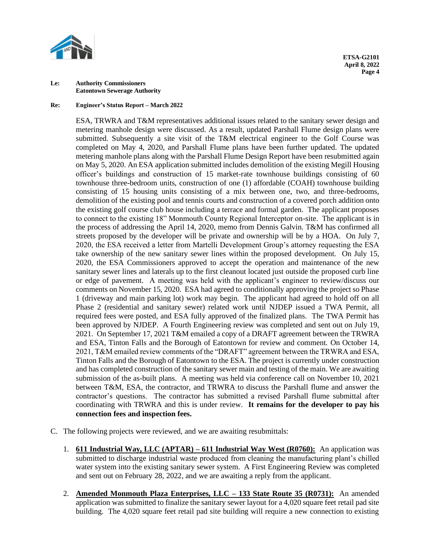

## **Re: Engineer's Status Report – March 2022**

ESA, TRWRA and T&M representatives additional issues related to the sanitary sewer design and metering manhole design were discussed. As a result, updated Parshall Flume design plans were submitted. Subsequently a site visit of the T&M electrical engineer to the Golf Course was completed on May 4, 2020, and Parshall Flume plans have been further updated. The updated metering manhole plans along with the Parshall Flume Design Report have been resubmitted again on May 5, 2020. An ESA application submitted includes demolition of the existing Megill Housing officer's buildings and construction of 15 market-rate townhouse buildings consisting of 60 townhouse three-bedroom units, construction of one (1) affordable (COAH) townhouse building consisting of 15 housing units consisting of a mix between one, two, and three-bedrooms, demolition of the existing pool and tennis courts and construction of a covered porch addition onto the existing golf course club house including a terrace and formal garden. The applicant proposes to connect to the existing 18" Monmouth County Regional Interceptor on-site. The applicant is in the process of addressing the April 14, 2020, memo from Dennis Galvin. T&M has confirmed all streets proposed by the developer will be private and ownership will be by a HOA. On July 7, 2020, the ESA received a letter from Martelli Development Group's attorney requesting the ESA take ownership of the new sanitary sewer lines within the proposed development. On July 15, 2020, the ESA Commissioners approved to accept the operation and maintenance of the new sanitary sewer lines and laterals up to the first cleanout located just outside the proposed curb line or edge of pavement.A meeting was held with the applicant's engineer to review/discuss our comments on November 15, 2020.ESA had agreed to conditionally approving the project so Phase 1 (driveway and main parking lot) work may begin. The applicant had agreed to hold off on all Phase 2 (residential and sanitary sewer) related work until NJDEP issued a TWA Permit, all required fees were posted, and ESA fully approved of the finalized plans. The TWA Permit has been approved by NJDEP. A Fourth Engineering review was completed and sent out on July 19, 2021.On September 17, 2021 T&M emailed a copy of a DRAFT agreement between the TRWRA and ESA, Tinton Falls and the Borough of Eatontown for review and comment. On October 14, 2021, T&M emailed review comments of the "DRAFT" agreement between the TRWRA and ESA, Tinton Falls and the Borough of Eatontown to the ESA. The project is currently under construction and has completed construction of the sanitary sewer main and testing of the main. We are awaiting submission of the as-built plans. A meeting was held via conference call on November 10, 2021 between T&M, ESA, the contractor, and TRWRA to discuss the Parshall flume and answer the contractor's questions. The contractor has submitted a revised Parshall flume submittal after coordinating with TRWRA and this is under review. **It remains for the developer to pay his connection fees and inspection fees.**

- C. The following projects were reviewed, and we are awaiting resubmittals:
	- 1. **611 Industrial Way, LLC (APTAR) – 611 Industrial Way West (R0760):** An application was submitted to discharge industrial waste produced from cleaning the manufacturing plant's chilled water system into the existing sanitary sewer system. A First Engineering Review was completed and sent out on February 28, 2022, and we are awaiting a reply from the applicant.
	- 2. **Amended Monmouth Plaza Enterprises, LLC – 133 State Route 35 (R0731):** An amended application was submitted to finalize the sanitary sewer layout for a 4,020 square feet retail pad site building. The 4,020 square feet retail pad site building will require a new connection to existing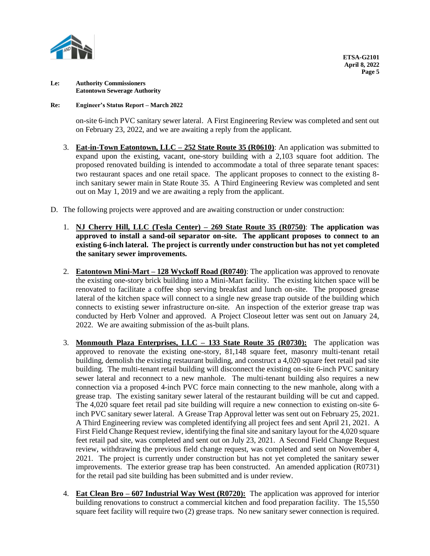

## **Re: Engineer's Status Report – March 2022**

on-site 6-inch PVC sanitary sewer lateral. A First Engineering Review was completed and sent out on February 23, 2022, and we are awaiting a reply from the applicant.

- 3. **Eat-in-Town Eatontown, LLC – 252 State Route 35 (R0610)**: An application was submitted to expand upon the existing, vacant, one-story building with a 2,103 square foot addition. The proposed renovated building is intended to accommodate a total of three separate tenant spaces: two restaurant spaces and one retail space. The applicant proposes to connect to the existing 8 inch sanitary sewer main in State Route 35. A Third Engineering Review was completed and sent out on May 1, 2019 and we are awaiting a reply from the applicant.
- D. The following projects were approved and are awaiting construction or under construction:
	- 1. **NJ Cherry Hill, LLC (Tesla Center) – 269 State Route 35 (R0750)**: **The application was approved to install a sand-oil separator on-site. The applicant proposes to connect to an existing 6-inch lateral. The project is currently under construction but has not yet completed the sanitary sewer improvements.**
	- 2. **Eatontown Mini-Mart – 128 Wyckoff Road (R0740)**: The application was approved to renovate the existing one-story brick building into a Mini-Mart facility. The existing kitchen space will be renovated to facilitate a coffee shop serving breakfast and lunch on-site. The proposed grease lateral of the kitchen space will connect to a single new grease trap outside of the building which connects to existing sewer infrastructure on-site.An inspection of the exterior grease trap was conducted by Herb Volner and approved. A Project Closeout letter was sent out on January 24, 2022. We are awaiting submission of the as-built plans.
	- 3. **Monmouth Plaza Enterprises, LLC – 133 State Route 35 (R0730):** The application was approved to renovate the existing one-story, 81,148 square feet, masonry multi-tenant retail building, demolish the existing restaurant building, and construct a 4,020 square feet retail pad site building. The multi-tenant retail building will disconnect the existing on-site 6-inch PVC sanitary sewer lateral and reconnect to a new manhole. The multi-tenant building also requires a new connection via a proposed 4-inch PVC force main connecting to the new manhole, along with a grease trap. The existing sanitary sewer lateral of the restaurant building will be cut and capped. The 4,020 square feet retail pad site building will require a new connection to existing on-site 6 inch PVC sanitary sewer lateral. A Grease Trap Approval letter was sent out on February 25, 2021. A Third Engineering review was completed identifying all project fees and sent April 21, 2021. A First Field Change Request review, identifying the final site and sanitary layout for the 4,020 square feet retail pad site, was completed and sent out on July 23, 2021.A Second Field Change Request review, withdrawing the previous field change request, was completed and sent on November 4, 2021. The project is currently under construction but has not yet completed the sanitary sewer improvements. The exterior grease trap has been constructed.An amended application (R0731) for the retail pad site building has been submitted and is under review.
	- 4. **Eat Clean Bro – 607 Industrial Way West (R0720):** The application was approved for interior building renovations to construct a commercial kitchen and food preparation facility. The 15,550 square feet facility will require two (2) grease traps. No new sanitary sewer connection is required.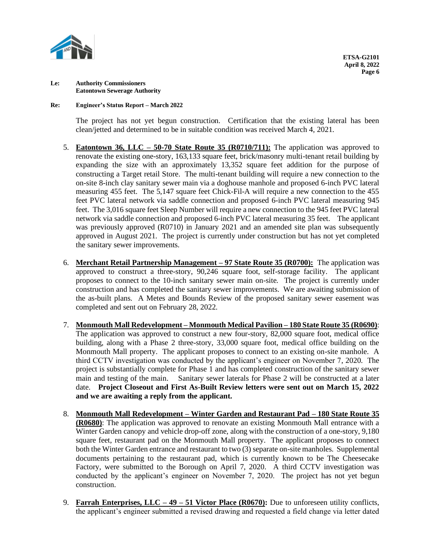

## **Re: Engineer's Status Report – March 2022**

The project has not yet begun construction. Certification that the existing lateral has been clean/jetted and determined to be in suitable condition was received March 4, 2021.

- 5. **Eatontown 36, LLC – 50-70 State Route 35 (R0710/711):** The application was approved to renovate the existing one-story, 163,133 square feet, brick/masonry multi-tenant retail building by expanding the size with an approximately 13,352 square feet addition for the purpose of constructing a Target retail Store. The multi-tenant building will require a new connection to the on-site 8-inch clay sanitary sewer main via a doghouse manhole and proposed 6-inch PVC lateral measuring 455 feet. The 5,147 square feet Chick-Fil-A will require a new connection to the 455 feet PVC lateral network via saddle connection and proposed 6-inch PVC lateral measuring 945 feet. The 3,016 square feet Sleep Number will require a new connection to the 945 feet PVC lateral network via saddle connection and proposed 6-inch PVC lateral measuring 35 feet. The applicant was previously approved (R0710) in January 2021 and an amended site plan was subsequently approved in August 2021.The project is currently under construction but has not yet completed the sanitary sewer improvements.
- 6. **Merchant Retail Partnership Management – 97 State Route 35 (R0700):** The application was approved to construct a three-story, 90,246 square foot, self-storage facility. The applicant proposes to connect to the 10-inch sanitary sewer main on-site. The project is currently under construction and has completed the sanitary sewer improvements. We are awaiting submission of the as-built plans. A Metes and Bounds Review of the proposed sanitary sewer easement was completed and sent out on February 28, 2022.
- 7. **Monmouth Mall Redevelopment – Monmouth Medical Pavilion – 180 State Route 35 (R0690)**: The application was approved to construct a new four-story, 82,000 square foot, medical office building, along with a Phase 2 three-story, 33,000 square foot, medical office building on the Monmouth Mall property. The applicant proposes to connect to an existing on-site manhole. A third CCTV investigation was conducted by the applicant's engineer on November 7, 2020. The project is substantially complete for Phase 1 and has completed construction of the sanitary sewer main and testing of the main. Sanitary sewer laterals for Phase 2 will be constructed at a later date. **Project Closeout and First As-Built Review letters were sent out on March 15, 2022 and we are awaiting a reply from the applicant.**
- 8. **Monmouth Mall Redevelopment – Winter Garden and Restaurant Pad – 180 State Route 35 (R0680)**: The application was approved to renovate an existing Monmouth Mall entrance with a Winter Garden canopy and vehicle drop-off zone, along with the construction of a one-story, 9,180 square feet, restaurant pad on the Monmouth Mall property. The applicant proposes to connect both the Winter Garden entrance and restaurant to two (3) separate on-site manholes. Supplemental documents pertaining to the restaurant pad, which is currently known to be The Cheesecake Factory, were submitted to the Borough on April 7, 2020. A third CCTV investigation was conducted by the applicant's engineer on November 7, 2020. The project has not yet begun construction.
- 9. **Farrah Enterprises, LLC – 49 – 51 Victor Place (R0670):** Due to unforeseen utility conflicts, the applicant's engineer submitted a revised drawing and requested a field change via letter dated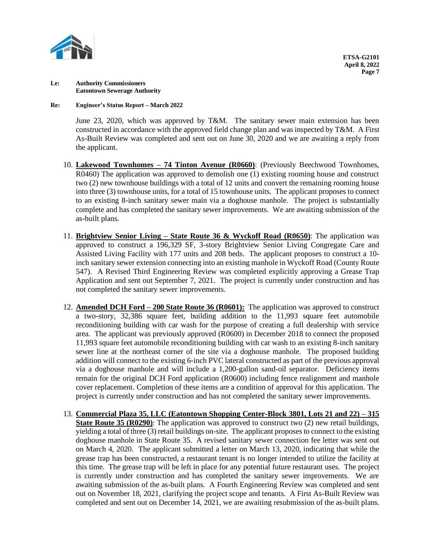

## **Re: Engineer's Status Report – March 2022**

June 23, 2020, which was approved by T&M. The sanitary sewer main extension has been constructed in accordance with the approved field change plan and was inspected by T&M. A First As-Built Review was completed and sent out on June 30, 2020 and we are awaiting a reply from the applicant.

- 10. **Lakewood Townhomes – 74 Tinton Avenue (R0660)**: (Previously Beechwood Townhomes, R0460) The application was approved to demolish one (1) existing rooming house and construct two (2) new townhouse buildings with a total of 12 units and convert the remaining rooming house into three (3) townhouse units, for a total of 15 townhouse units. The applicant proposes to connect to an existing 8-inch sanitary sewer main via a doghouse manhole. The project is substantially complete and has completed the sanitary sewer improvements. We are awaiting submission of the as-built plans.
- 11. **Brightview Senior Living – State Route 36 & Wyckoff Road (R0650)**: The application was approved to construct a 196,329 SF, 3-story Brightview Senior Living Congregate Care and Assisted Living Facility with 177 units and 208 beds. The applicant proposes to construct a 10 inch sanitary sewer extension connecting into an existing manhole in Wyckoff Road (County Route 547). A Revised Third Engineering Review was completed explicitly approving a Grease Trap Application and sent out September 7, 2021. The project is currently under construction and has not completed the sanitary sewer improvements.
- 12. **Amended DCH Ford – 200 State Route 36 (R0601):** The application was approved to construct a two-story, 32,386 square feet, building addition to the 11,993 square feet automobile reconditioning building with car wash for the purpose of creating a full dealership with service area. The applicant was previously approved (R0600) in December 2018 to connect the proposed 11,993 square feet automobile reconditioning building with car wash to an existing 8-inch sanitary sewer line at the northeast corner of the site via a doghouse manhole. The proposed building addition will connect to the existing 6-inch PVC lateral constructed as part of the previous approval via a doghouse manhole and will include a 1,200-gallon sand-oil separator. Deficiency items remain for the original DCH Ford application (R0600) including fence realignment and manhole cover replacement. Completion of these items are a condition of approval for this application. The project is currently under construction and has not completed the sanitary sewer improvements.
- 13. **Commercial Plaza 35, LLC (Eatontown Shopping Center-Block 3801, Lots 21 and 22) – 315 State Route 35 (R0290)**: The application was approved to construct two (2) new retail buildings, yielding a total of three (3) retail buildings on-site. The applicant proposes to connect to the existing doghouse manhole in State Route 35. A revised sanitary sewer connection fee letter was sent out on March 4, 2020. The applicant submitted a letter on March 13, 2020, indicating that while the grease trap has been constructed, a restaurant tenant is no longer intended to utilize the facility at this time. The grease trap will be left in place for any potential future restaurant uses. The project is currently under construction and has completed the sanitary sewer improvements. We are awaiting submission of the as-built plans. A Fourth Engineering Review was completed and sent out on November 18, 2021, clarifying the project scope and tenants.A First As-Built Review was completed and sent out on December 14, 2021, we are awaiting resubmission of the as-built plans.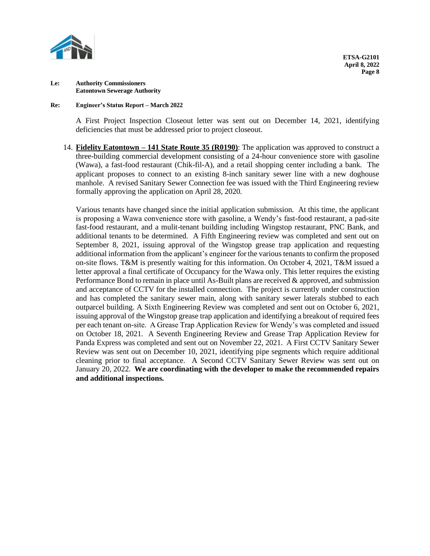

### **Re: Engineer's Status Report – March 2022**

A First Project Inspection Closeout letter was sent out on December 14, 2021, identifying deficiencies that must be addressed prior to project closeout.

14. **Fidelity Eatontown – 141 State Route 35 (R0190)**: The application was approved to construct a three-building commercial development consisting of a 24-hour convenience store with gasoline (Wawa), a fast-food restaurant (Chik-fil-A), and a retail shopping center including a bank. The applicant proposes to connect to an existing 8-inch sanitary sewer line with a new doghouse manhole. A revised Sanitary Sewer Connection fee was issued with the Third Engineering review formally approving the application on April 28, 2020.

Various tenants have changed since the initial application submission. At this time, the applicant is proposing a Wawa convenience store with gasoline, a Wendy's fast-food restaurant, a pad-site fast-food restaurant, and a mulit-tenant building including Wingstop restaurant, PNC Bank, and additional tenants to be determined. A Fifth Engineering review was completed and sent out on September 8, 2021, issuing approval of the Wingstop grease trap application and requesting additional information from the applicant's engineer for the various tenants to confirm the proposed on-site flows. T&M is presently waiting for this information. On October 4, 2021, T&M issued a letter approval a final certificate of Occupancy for the Wawa only. This letter requires the existing Performance Bond to remain in place until As-Built plans are received & approved, and submission and acceptance of CCTV for the installed connection. The project is currently under construction and has completed the sanitary sewer main, along with sanitary sewer laterals stubbed to each outparcel building. A Sixth Engineering Review was completed and sent out on October 6, 2021, issuing approval of the Wingstop grease trap application and identifying a breakout of required fees per each tenant on-site. A Grease Trap Application Review for Wendy's was completed and issued on October 18, 2021.A Seventh Engineering Review and Grease Trap Application Review for Panda Express was completed and sent out on November 22, 2021. A First CCTV Sanitary Sewer Review was sent out on December 10, 2021, identifying pipe segments which require additional cleaning prior to final acceptance.A Second CCTV Sanitary Sewer Review was sent out on January 20, 2022. **We are coordinating with the developer to make the recommended repairs and additional inspections.**